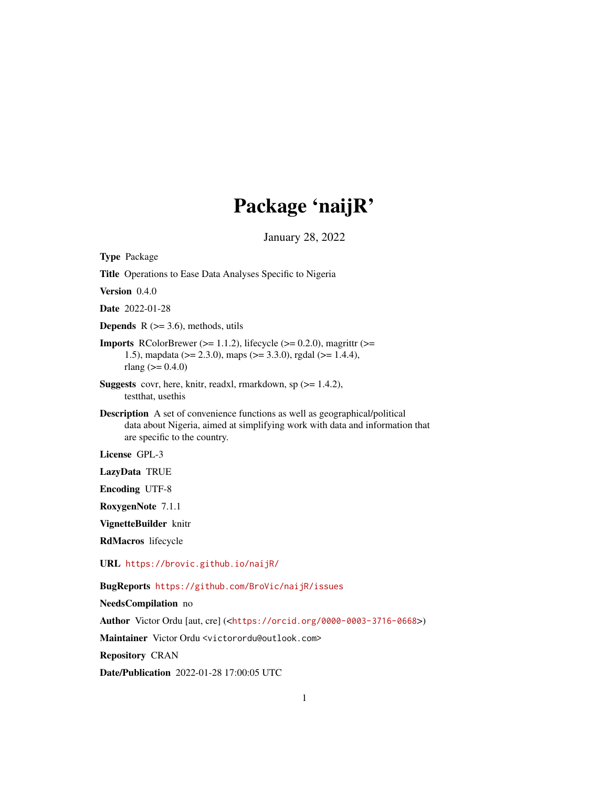## Package 'naijR'

January 28, 2022

<span id="page-0-0"></span>Type Package

Title Operations to Ease Data Analyses Specific to Nigeria

Version 0.4.0

Date 2022-01-28

**Depends** R  $(>= 3.6)$ , methods, utils

**Imports** RColorBrewer ( $>= 1.1.2$ ), lifecycle ( $>= 0.2.0$ ), magrittr ( $>=$ 1.5), mapdata (>= 2.3.0), maps (>= 3.3.0), rgdal (>= 1.4.4), rlang ( $>= 0.4.0$ )

Suggests covr, here, knitr, readxl, rmarkdown, sp (>= 1.4.2), testthat, usethis

Description A set of convenience functions as well as geographical/political data about Nigeria, aimed at simplifying work with data and information that are specific to the country.

License GPL-3

LazyData TRUE

Encoding UTF-8

RoxygenNote 7.1.1

VignetteBuilder knitr

RdMacros lifecycle

URL <https://brovic.github.io/naijR/>

BugReports <https://github.com/BroVic/naijR/issues>

NeedsCompilation no

Author Victor Ordu [aut, cre] (<<https://orcid.org/0000-0003-3716-0668>>)

Maintainer Victor Ordu <victorordu@outlook.com>

Repository CRAN

Date/Publication 2022-01-28 17:00:05 UTC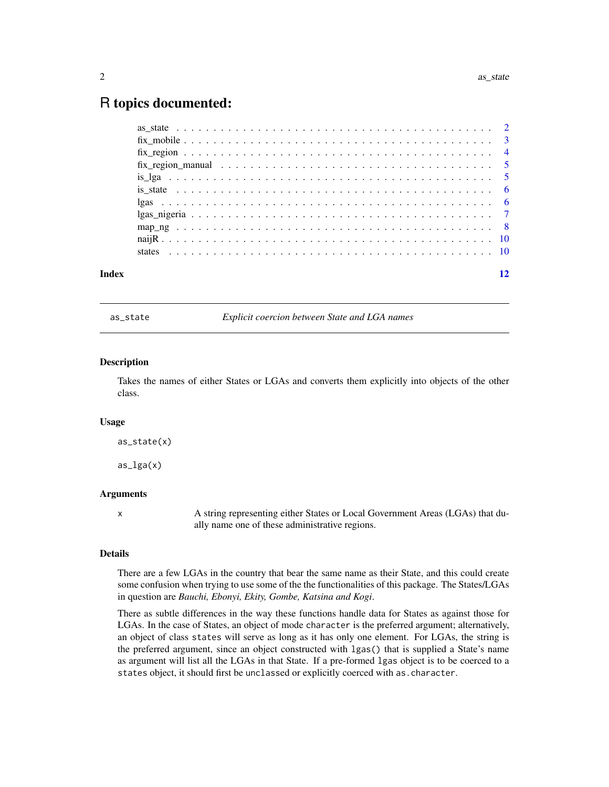### <span id="page-1-0"></span>R topics documented:

|       | $is_lga_1, a_2, a_3, a_4, a_5, a_6, a_7, a_8, a_9, a_1, a_2, a_3, a_4, a_7, a_8, a_9, a_1, a_2, a_3, a_4, a_5, a_6, a_7, a_8, a_9, a_1, a_2, a_3, a_4, a_5, a_6, a_7, a_8, a_9, a_1, a_2, a_3, a_4, a_5, a_6, a_7, a_8, a_9, a_1, a_2, a_3, a_4, a_5, a_6, a_1, a_2, a_3, a_4, a_5, a_$ |    |
|-------|-----------------------------------------------------------------------------------------------------------------------------------------------------------------------------------------------------------------------------------------------------------------------------------------|----|
|       |                                                                                                                                                                                                                                                                                         |    |
|       |                                                                                                                                                                                                                                                                                         |    |
|       |                                                                                                                                                                                                                                                                                         |    |
|       |                                                                                                                                                                                                                                                                                         |    |
|       |                                                                                                                                                                                                                                                                                         |    |
|       |                                                                                                                                                                                                                                                                                         |    |
| Index |                                                                                                                                                                                                                                                                                         | 12 |

as\_state *Explicit coercion between State and LGA names*

#### Description

Takes the names of either States or LGAs and converts them explicitly into objects of the other class.

#### Usage

as\_state(x)

 $as_lga(x)$ 

#### Arguments

x A string representing either States or Local Government Areas (LGAs) that dually name one of these administrative regions.

#### Details

There are a few LGAs in the country that bear the same name as their State, and this could create some confusion when trying to use some of the the functionalities of this package. The States/LGAs in question are *Bauchi, Ebonyi, Ekity, Gombe, Katsina and Kogi*.

There as subtle differences in the way these functions handle data for States as against those for LGAs. In the case of States, an object of mode character is the preferred argument; alternatively, an object of class states will serve as long as it has only one element. For LGAs, the string is the preferred argument, since an object constructed with lgas() that is supplied a State's name as argument will list all the LGAs in that State. If a pre-formed lgas object is to be coerced to a states object, it should first be unclassed or explicitly coerced with as.character.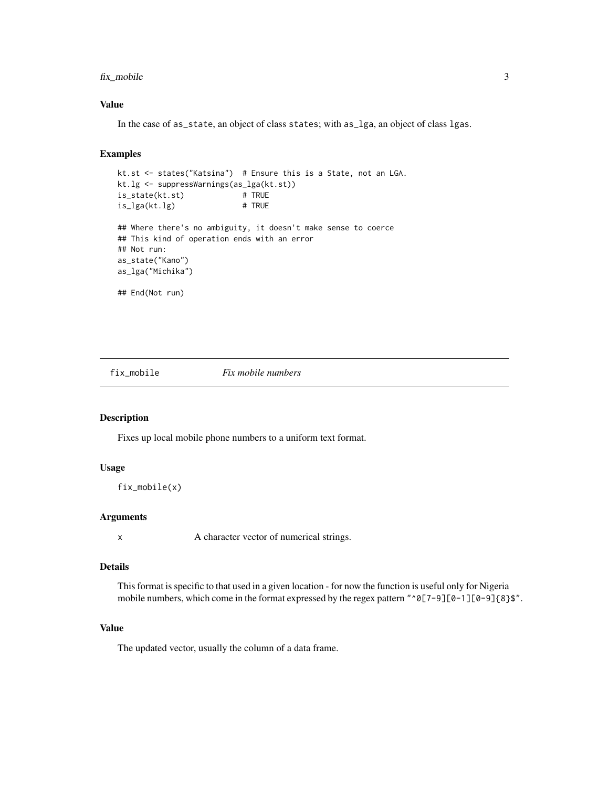#### <span id="page-2-0"></span>fix\_mobile 3

#### Value

In the case of as\_state, an object of class states; with as\_lga, an object of class lgas.

#### Examples

```
kt.st <- states("Katsina") # Ensure this is a State, not an LGA.
kt.lg <- suppressWarnings(as_lga(kt.st))
is_state(kt.st)
is_lga(kt.lg) # TRUE
## Where there's no ambiguity, it doesn't make sense to coerce
## This kind of operation ends with an error
## Not run:
as_state("Kano")
as_lga("Michika")
## End(Not run)
```
fix\_mobile *Fix mobile numbers*

#### Description

Fixes up local mobile phone numbers to a uniform text format.

#### Usage

```
fix_mobile(x)
```
#### Arguments

x A character vector of numerical strings.

#### Details

This format is specific to that used in a given location - for now the function is useful only for Nigeria mobile numbers, which come in the format expressed by the regex pattern "^0[7-9][0-1][0-9]{8}\$".

#### Value

The updated vector, usually the column of a data frame.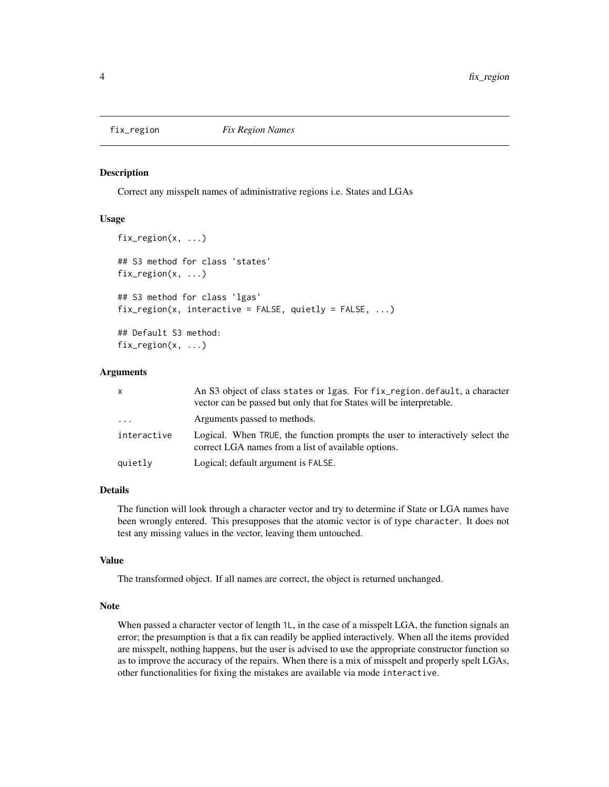<span id="page-3-0"></span>

#### Description

Correct any misspelt names of administrative regions i.e. States and LGAs

#### Usage

```
fix_region(x, ...)
## S3 method for class 'states'
fix_region(x, ...)
## S3 method for class 'lgas'
fix\_region(x, interactive = FALSE, quick = FALSE, -E).## Default S3 method:
fix_region(x, ...)
```
#### Arguments

| X           | An S3 object of class states or 1 gas. For fix region default, a character<br>vector can be passed but only that for States will be interpretable. |
|-------------|----------------------------------------------------------------------------------------------------------------------------------------------------|
| $\ddots$    | Arguments passed to methods.                                                                                                                       |
| interactive | Logical. When TRUE, the function prompts the user to interactively select the<br>correct LGA names from a list of available options.               |
| quietly     | Logical; default argument is FALSE.                                                                                                                |

#### Details

The function will look through a character vector and try to determine if State or LGA names have been wrongly entered. This presupposes that the atomic vector is of type character. It does not test any missing values in the vector, leaving them untouched.

#### Value

The transformed object. If all names are correct, the object is returned unchanged.

#### Note

When passed a character vector of length 1L, in the case of a misspelt LGA, the function signals an error; the presumption is that a fix can readily be applied interactively. When all the items provided are misspelt, nothing happens, but the user is advised to use the appropriate constructor function so as to improve the accuracy of the repairs. When there is a mix of misspelt and properly spelt LGAs, other functionalities for fixing the mistakes are available via mode interactive.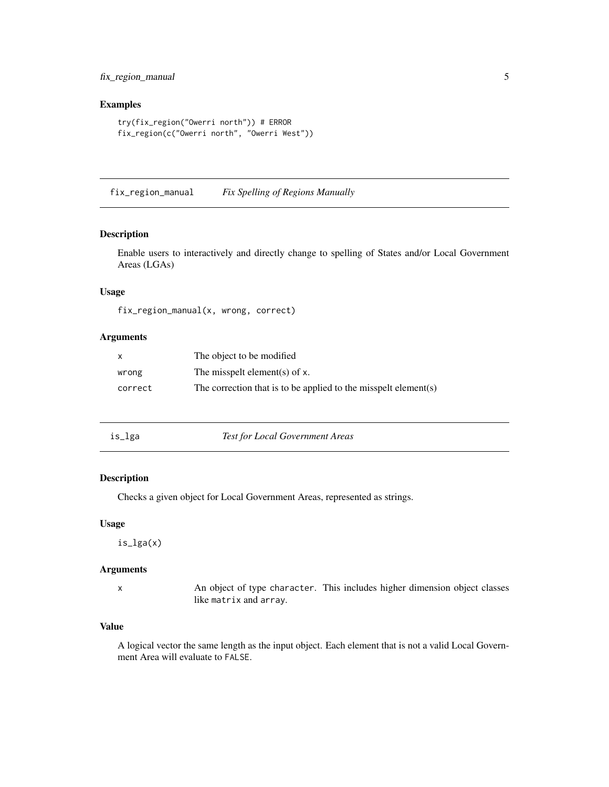#### <span id="page-4-0"></span>fix\_region\_manual 5

#### Examples

```
try(fix_region("Owerri north")) # ERROR
fix_region(c("Owerri north", "Owerri West"))
```
fix\_region\_manual *Fix Spelling of Regions Manually*

#### Description

Enable users to interactively and directly change to spelling of States and/or Local Government Areas (LGAs)

#### Usage

fix\_region\_manual(x, wrong, correct)

#### Arguments

| X       | The object to be modified.                                      |
|---------|-----------------------------------------------------------------|
| wrong   | The misspelt element(s) of $x$ .                                |
| correct | The correction that is to be applied to the misspelt element(s) |

is\_lga *Test for Local Government Areas*

#### Description

Checks a given object for Local Government Areas, represented as strings.

#### Usage

is\_lga(x)

#### Arguments

x An object of type character. This includes higher dimension object classes like matrix and array.

#### Value

A logical vector the same length as the input object. Each element that is not a valid Local Government Area will evaluate to FALSE.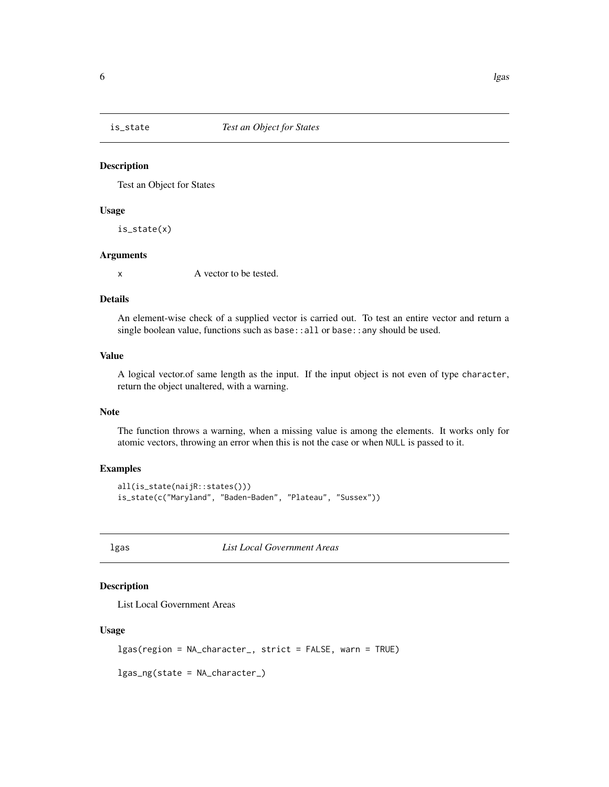<span id="page-5-0"></span>

#### Description

Test an Object for States

#### Usage

is\_state(x)

#### Arguments

x A vector to be tested.

#### Details

An element-wise check of a supplied vector is carried out. To test an entire vector and return a single boolean value, functions such as base::all or base::any should be used.

#### Value

A logical vector.of same length as the input. If the input object is not even of type character, return the object unaltered, with a warning.

#### Note

The function throws a warning, when a missing value is among the elements. It works only for atomic vectors, throwing an error when this is not the case or when NULL is passed to it.

#### Examples

```
all(is_state(naijR::states()))
is_state(c("Maryland", "Baden-Baden", "Plateau", "Sussex"))
```
lgas *List Local Government Areas*

#### Description

List Local Government Areas

#### Usage

```
lgas(region = NA_character_, strict = FALSE, warn = TRUE)
```

```
lgas_ng(state = NA_character_)
```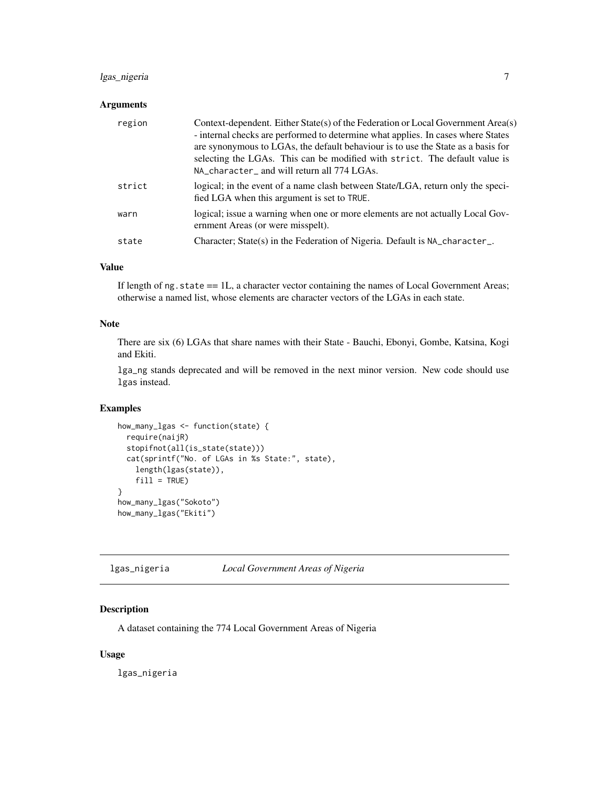#### <span id="page-6-0"></span>lgas\_nigeria 7

#### Arguments

| region | Context-dependent. Either State(s) of the Federation or Local Government Area(s)<br>- internal checks are performed to determine what applies. In cases where States<br>are synonymous to LGAs, the default behaviour is to use the State as a basis for<br>selecting the LGAs. This can be modified with strict. The default value is<br>NA_character_ and will return all 774 LGAs. |
|--------|---------------------------------------------------------------------------------------------------------------------------------------------------------------------------------------------------------------------------------------------------------------------------------------------------------------------------------------------------------------------------------------|
| strict | logical; in the event of a name clash between State/LGA, return only the speci-<br>fied LGA when this argument is set to TRUE.                                                                                                                                                                                                                                                        |
| warn   | logical; issue a warning when one or more elements are not actually Local Gov-<br>ernment Areas (or were misspelt).                                                                                                                                                                                                                                                                   |
| state  | Character; State(s) in the Federation of Nigeria. Default is NA_character_.                                                                                                                                                                                                                                                                                                           |

#### Value

If length of  $ng.state = 1L$ , a character vector containing the names of Local Government Areas; otherwise a named list, whose elements are character vectors of the LGAs in each state.

#### Note

There are six (6) LGAs that share names with their State - Bauchi, Ebonyi, Gombe, Katsina, Kogi and Ekiti.

lga\_ng stands deprecated and will be removed in the next minor version. New code should use lgas instead.

#### Examples

```
how_many_lgas <- function(state) {
  require(naijR)
  stopifnot(all(is_state(state)))
  cat(sprintf("No. of LGAs in %s State:", state),
    length(lgas(state)),
    fill = TRUE)
}
how_many_lgas("Sokoto")
how_many_lgas("Ekiti")
```
lgas\_nigeria *Local Government Areas of Nigeria*

#### Description

A dataset containing the 774 Local Government Areas of Nigeria

#### Usage

lgas\_nigeria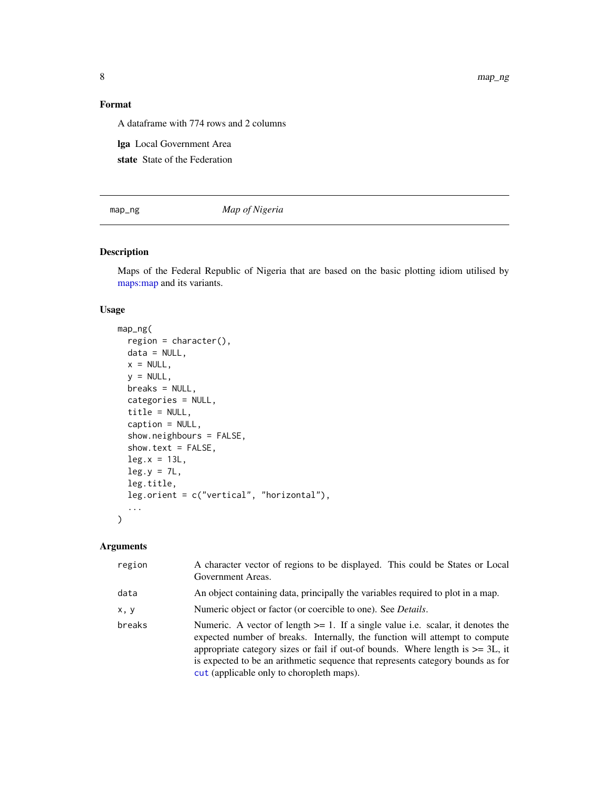<span id="page-7-0"></span>8 map\_ng map\_ng map\_ng map\_ng map\_ng map\_ng map\_ng map\_ng map\_ng map\_ng map\_ng map\_ng map\_ng map\_ng map\_ng map\_ng map\_ng map\_ng map\_ng map\_ng map\_ng map\_ng map\_ng map\_ng map\_ng map\_ng map\_ng map\_ng map\_ng map\_ng map\_ng map

#### Format

A dataframe with 774 rows and 2 columns

lga Local Government Area

state State of the Federation

map\_ng *Map of Nigeria*

#### Description

Maps of the Federal Republic of Nigeria that are based on the basic plotting idiom utilised by [maps:map](#page-0-0) and its variants.

#### Usage

```
map_ng(
  region = character(),data = NULL,
 x = NULL,y = NULL,breaks = NULL,
  categories = NULL,
  title = NULL,
  caption = NULL,
  show.neighbours = FALSE,
  show.text = FALSE,
  leg.x = 13L,leg.y = 7L,leg.title,
  leg.orient = c("vertical", "horizontal"),
  ...
)
```
#### Arguments

| region | A character vector of regions to be displayed. This could be States or Local<br>Government Areas.                                                                                                                                                                                                                                                                                         |
|--------|-------------------------------------------------------------------------------------------------------------------------------------------------------------------------------------------------------------------------------------------------------------------------------------------------------------------------------------------------------------------------------------------|
| data   | An object containing data, principally the variables required to plot in a map.                                                                                                                                                                                                                                                                                                           |
| x, y   | Numeric object or factor (or coercible to one). See <i>Details</i> .                                                                                                                                                                                                                                                                                                                      |
| breaks | Numeric. A vector of length $>= 1$ . If a single value i.e. scalar, it denotes the<br>expected number of breaks. Internally, the function will attempt to compute<br>appropriate category sizes or fail if out-of bounds. Where length is $\geq$ = 3L, it<br>is expected to be an arithmetic sequence that represents category bounds as for<br>cut (applicable only to choropleth maps). |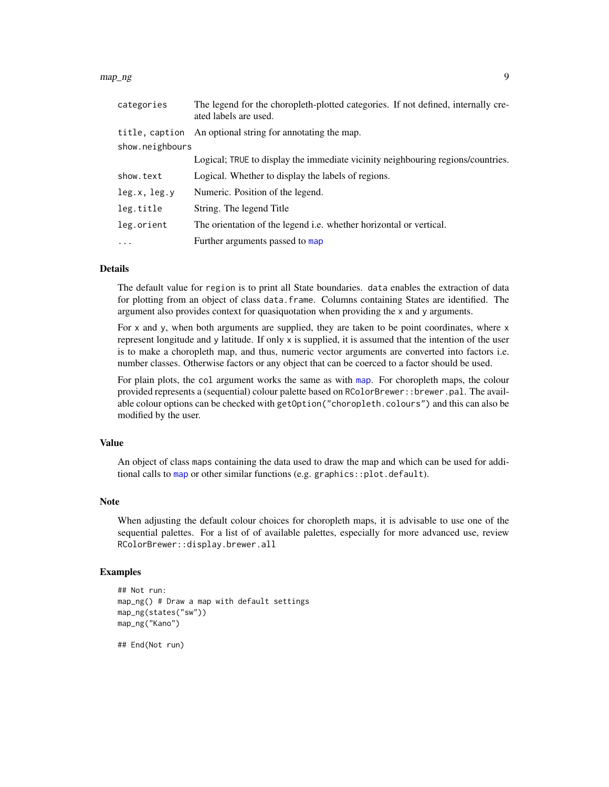#### <span id="page-8-0"></span>map\_ng 9

| categories      | The legend for the choropleth-plotted categories. If not defined, internally cre-<br>ated labels are used. |
|-----------------|------------------------------------------------------------------------------------------------------------|
| title, caption  | An optional string for annotating the map.                                                                 |
| show.neighbours |                                                                                                            |
|                 | Logical; TRUE to display the immediate vicinity neighbouring regions/countries.                            |
| show.text       | Logical. Whether to display the labels of regions.                                                         |
| leg.x, leg.y    | Numeric. Position of the legend.                                                                           |
| leg.title       | String. The legend Title                                                                                   |
| leg.orient      | The orientation of the legend i.e. whether horizontal or vertical.                                         |
| $\ddotsc$       | Further arguments passed to map                                                                            |

#### Details

The default value for region is to print all State boundaries. data enables the extraction of data for plotting from an object of class data.frame. Columns containing States are identified. The argument also provides context for quasiquotation when providing the x and y arguments.

For x and y, when both arguments are supplied, they are taken to be point coordinates, where x represent longitude and y latitude. If only x is supplied, it is assumed that the intention of the user is to make a choropleth map, and thus, numeric vector arguments are converted into factors i.e. number classes. Otherwise factors or any object that can be coerced to a factor should be used.

For plain plots, the col argument works the same as with [map](#page-0-0). For choropleth maps, the colour provided represents a (sequential) colour palette based on RColorBrewer:: brewer.pal. The available colour options can be checked with getOption("choropleth.colours") and this can also be modified by the user.

#### Value

An object of class maps containing the data used to draw the map and which can be used for additional calls to [map](#page-0-0) or other similar functions (e.g. graphics::plot.default).

#### Note

When adjusting the default colour choices for choropleth maps, it is advisable to use one of the sequential palettes. For a list of of available palettes, especially for more advanced use, review RColorBrewer::display.brewer.all

#### Examples

```
## Not run:
map_ng() # Draw a map with default settings
map_ng(states("sw"))
map_ng("Kano")
```
## End(Not run)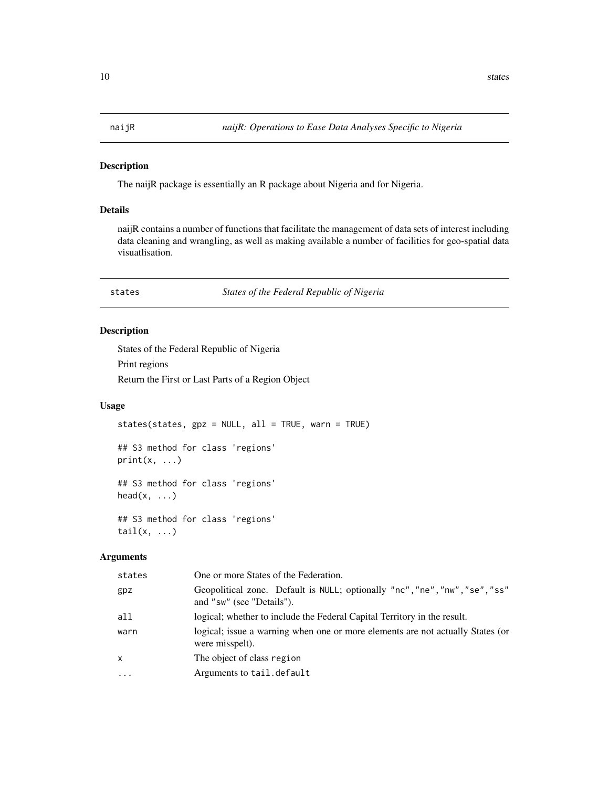<span id="page-9-0"></span>

#### Description

The naijR package is essentially an R package about Nigeria and for Nigeria.

#### Details

naijR contains a number of functions that facilitate the management of data sets of interest including data cleaning and wrangling, as well as making available a number of facilities for geo-spatial data visuatlisation.

#### states *States of the Federal Republic of Nigeria*

#### Description

States of the Federal Republic of Nigeria Print regions Return the First or Last Parts of a Region Object

#### Usage

states(states, gpz = NULL, all = TRUE, warn = TRUE)

## S3 method for class 'regions'  $print(x, \ldots)$ 

## S3 method for class 'regions' head $(x, \ldots)$ 

## S3 method for class 'regions'  $tail(x, \ldots)$ 

#### Arguments

| states    | One or more States of the Federation.                                                                    |
|-----------|----------------------------------------------------------------------------------------------------------|
| gpz       | Geopolitical zone. Default is NULL; optionally "nc", "ne", "nw", "se", "ss"<br>and "sw" (see "Details"). |
| all       | logical; whether to include the Federal Capital Territory in the result.                                 |
| warn      | logical; issue a warning when one or more elements are not actually States (or<br>were misspelt).        |
| X         | The object of class region                                                                               |
| $\ddotsc$ | Arguments to tail.default                                                                                |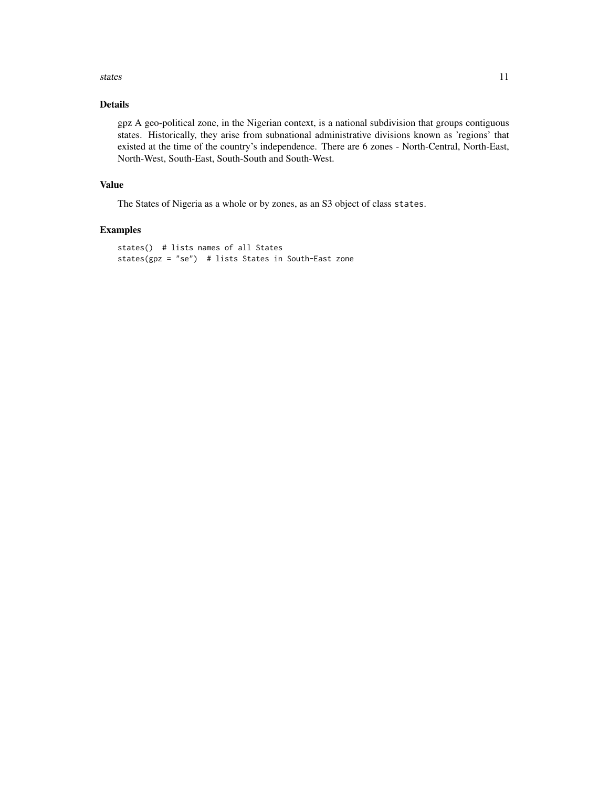#### states and the states of the states of the states of the states of the states of the states of the states of the states of the states of the states of the states of the states of the states of the states of the states of t

#### Details

gpz A geo-political zone, in the Nigerian context, is a national subdivision that groups contiguous states. Historically, they arise from subnational administrative divisions known as 'regions' that existed at the time of the country's independence. There are 6 zones - North-Central, North-East, North-West, South-East, South-South and South-West.

#### Value

The States of Nigeria as a whole or by zones, as an S3 object of class states.

#### Examples

```
states() # lists names of all States
states(gpz = "se") # lists States in South-East zone
```